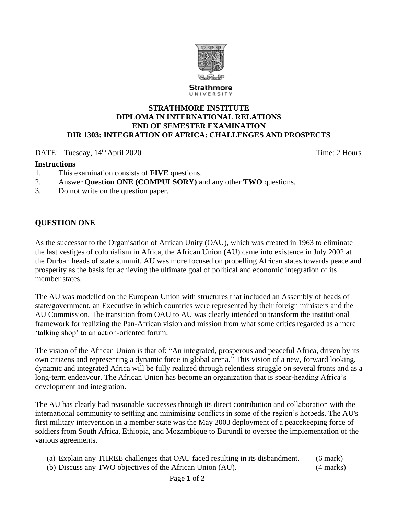

## **STRATHMORE INSTITUTE DIPLOMA IN INTERNATIONAL RELATIONS END OF SEMESTER EXAMINATION DIR 1303: INTEGRATION OF AFRICA: CHALLENGES AND PROSPECTS**

## DATE: Tuesday,  $14<sup>th</sup>$  April 2020

## **Instructions**

- 1. This examination consists of **FIVE** questions.
- 2. Answer **Question ONE (COMPULSORY)** and any other **TWO** questions.
- 3. Do not write on the question paper.

## **QUESTION ONE**

As the successor to the Organisation of African Unity (OAU), which was created in 1963 to eliminate the last vestiges of colonialism in Africa, the African Union (AU) came into existence in July 2002 at the Durban heads of state summit. AU was more focused on propelling African states towards peace and prosperity as the basis for achieving the ultimate goal of political and economic integration of its member states.

The AU was modelled on the European Union with structures that included an Assembly of heads of state/government, an Executive in which countries were represented by their foreign ministers and the AU Commission. The transition from OAU to AU was clearly intended to transform the institutional framework for realizing the Pan-African vision and mission from what some critics regarded as a mere 'talking shop' to an action-oriented forum.

The vision of the African Union is that of: "An integrated, prosperous and peaceful Africa, driven by its own citizens and representing a dynamic force in global arena." This vision of a new, forward looking, dynamic and integrated Africa will be fully realized through relentless struggle on several fronts and as a long-term endeavour. The African Union has become an organization that is spear-heading Africa's development and integration.

The AU has clearly had reasonable successes through its direct contribution and collaboration with the international community to settling and minimising conflicts in some of the region's hotbeds. The AU's first military intervention in a member state was the May 2003 deployment of a peacekeeping force of soldiers from South Africa, Ethiopia, and Mozambique to Burundi to oversee the implementation of the various agreements.

(a) Explain any THREE challenges that OAU faced resulting in its disbandment. (6 mark)

(b) Discuss any TWO objectives of the African Union (AU). (4 marks)